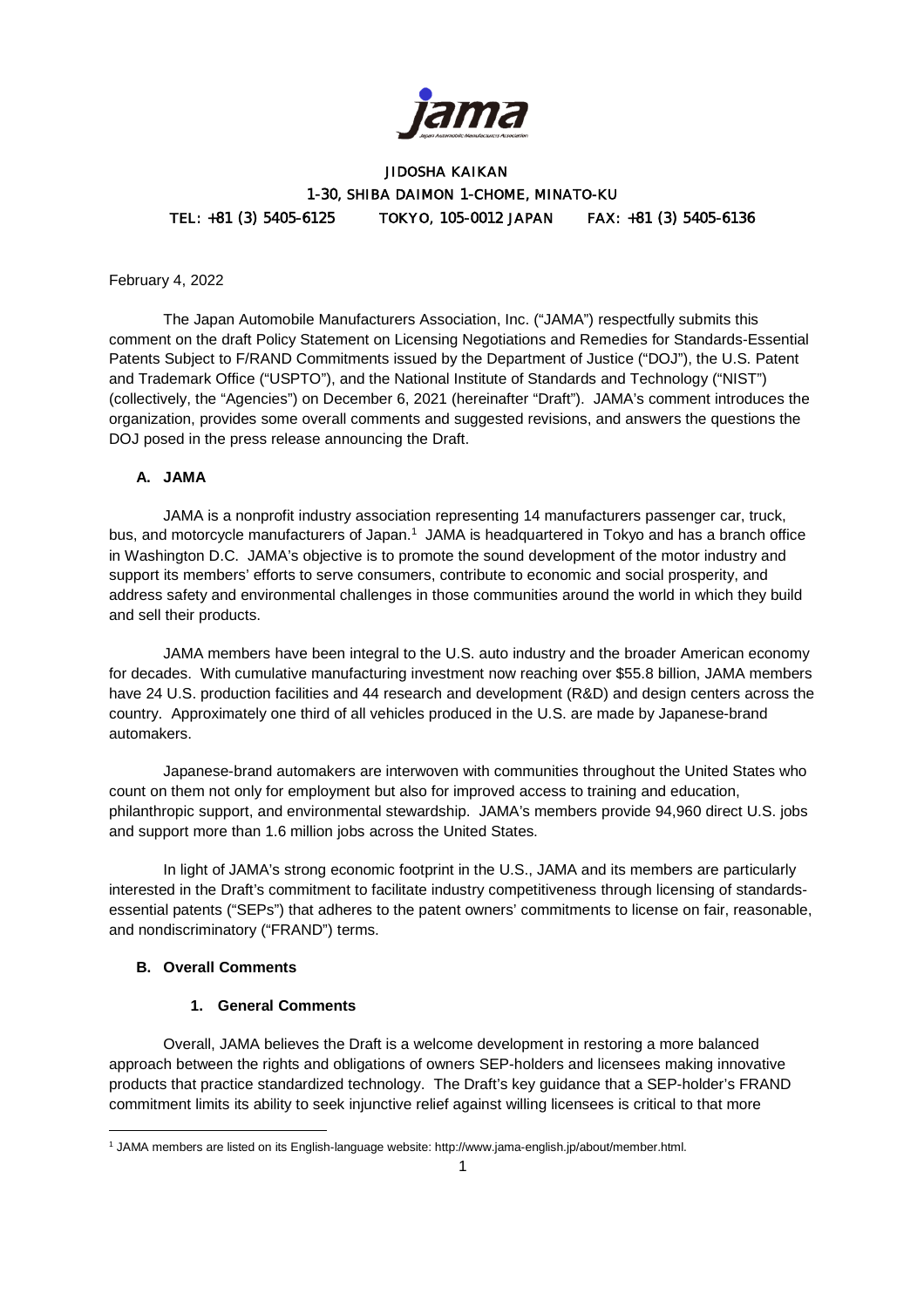

# JIDOSHA KAIKAN 1-30, SHIBA DAIMON 1-CHOME, MINATO-KU TEL: +81 (3) 5405-6125 TOKYO, 105-0012 JAPAN FAX: +81 (3) 5405-6136

#### February 4, 2022

The Japan Automobile Manufacturers Association, Inc. ("JAMA") respectfully submits this comment on the draft Policy Statement on Licensing Negotiations and Remedies for Standards-Essential Patents Subject to F/RAND Commitments issued by the Department of Justice ("DOJ"), the U.S. Patent and Trademark Office ("USPTO"), and the National Institute of Standards and Technology ("NIST") (collectively, the "Agencies") on December 6, 2021 (hereinafter "Draft"). JAMA's comment introduces the organization, provides some overall comments and suggested revisions, and answers the questions the DOJ posed in the press release announcing the Draft.

#### **A. JAMA**

JAMA is a nonprofit industry association representing 14 manufacturers passenger car, truck, bus, and motorcycle manufacturers of Japan.<sup>1</sup> JAMA is headquartered in Tokyo and has a branch office in Washington D.C. JAMA's objective is to promote the sound development of the motor industry and support its members' efforts to serve consumers, contribute to economic and social prosperity, and address safety and environmental challenges in those communities around the world in which they build and sell their products.

JAMA members have been integral to the U.S. auto industry and the broader American economy for decades. With cumulative manufacturing investment now reaching over \$55.8 billion, JAMA members have 24 U.S. production facilities and 44 research and development (R&D) and design centers across the country. Approximately one third of all vehicles produced in the U.S. are made by Japanese-brand automakers.

Japanese-brand automakers are interwoven with communities throughout the United States who count on them not only for employment but also for improved access to training and education, philanthropic support, and environmental stewardship. JAMA's members provide 94,960 direct U.S. jobs and support more than 1.6 million jobs across the United States.

In light of JAMA's strong economic footprint in the U.S., JAMA and its members are particularly interested in the Draft's commitment to facilitate industry competitiveness through licensing of standardsessential patents ("SEPs") that adheres to the patent owners' commitments to license on fair, reasonable, and nondiscriminatory ("FRAND") terms.

#### **B. Overall Comments**

#### **1. General Comments**

Overall, JAMA believes the Draft is a welcome development in restoring a more balanced approach between the rights and obligations of owners SEP-holders and licensees making innovative products that practice standardized technology. The Draft's key guidance that a SEP-holder's FRAND commitment limits its ability to seek injunctive relief against willing licensees is critical to that more

<sup>1</sup> JAMA members are listed on its English-language website: http://www.jama-english.jp/about/member.html.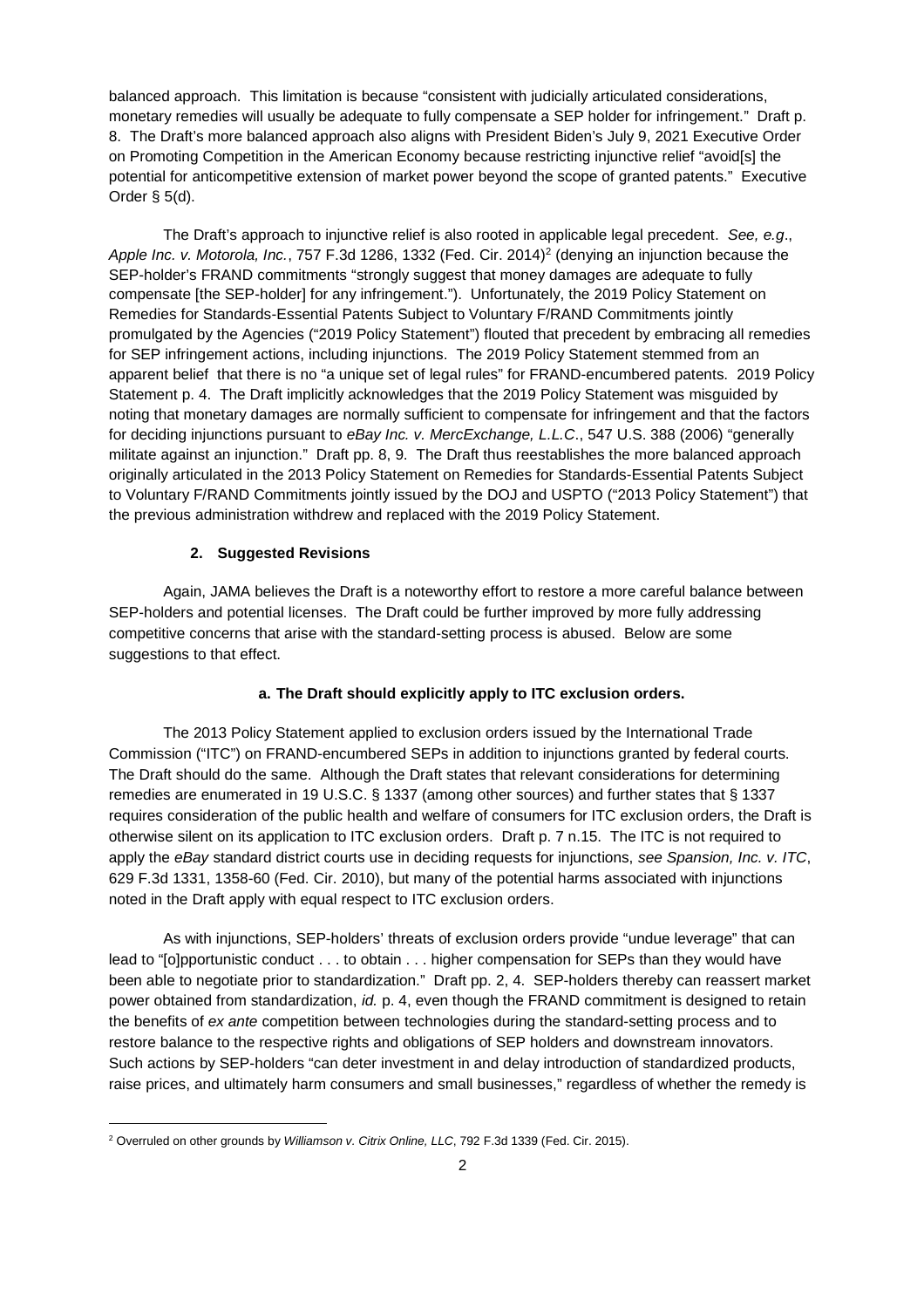balanced approach. This limitation is because "consistent with judicially articulated considerations, monetary remedies will usually be adequate to fully compensate a SEP holder for infringement." Draft p. 8. The Draft's more balanced approach also aligns with President Biden's July 9, 2021 Executive Order on Promoting Competition in the American Economy because restricting injunctive relief "avoid[s] the potential for anticompetitive extension of market power beyond the scope of granted patents." Executive Order § 5(d).

The Draft's approach to injunctive relief is also rooted in applicable legal precedent. *See, e.g*., Apple Inc. v. Motorola, Inc., 757 F.3d 1286, 1332 (Fed. Cir. 2014)<sup>2</sup> (denying an injunction because the SEP-holder's FRAND commitments "strongly suggest that money damages are adequate to fully compensate [the SEP-holder] for any infringement."). Unfortunately, the 2019 Policy Statement on Remedies for Standards-Essential Patents Subject to Voluntary F/RAND Commitments jointly promulgated by the Agencies ("2019 Policy Statement") flouted that precedent by embracing all remedies for SEP infringement actions, including injunctions. The 2019 Policy Statement stemmed from an apparent belief that there is no "a unique set of legal rules" for FRAND-encumbered patents. 2019 Policy Statement p. 4. The Draft implicitly acknowledges that the 2019 Policy Statement was misguided by noting that monetary damages are normally sufficient to compensate for infringement and that the factors for deciding injunctions pursuant to *eBay Inc. v. MercExchange, L.L.C*., 547 U.S. 388 (2006) "generally militate against an injunction." Draft pp. 8, 9. The Draft thus reestablishes the more balanced approach originally articulated in the 2013 Policy Statement on Remedies for Standards-Essential Patents Subject to Voluntary F/RAND Commitments jointly issued by the DOJ and USPTO ("2013 Policy Statement") that the previous administration withdrew and replaced with the 2019 Policy Statement.

#### **2. Suggested Revisions**

Again, JAMA believes the Draft is a noteworthy effort to restore a more careful balance between SEP-holders and potential licenses. The Draft could be further improved by more fully addressing competitive concerns that arise with the standard-setting process is abused. Below are some suggestions to that effect.

### **a. The Draft should explicitly apply to ITC exclusion orders.**

The 2013 Policy Statement applied to exclusion orders issued by the International Trade Commission ("ITC") on FRAND-encumbered SEPs in addition to injunctions granted by federal courts. The Draft should do the same. Although the Draft states that relevant considerations for determining remedies are enumerated in 19 U.S.C. § 1337 (among other sources) and further states that § 1337 requires consideration of the public health and welfare of consumers for ITC exclusion orders, the Draft is otherwise silent on its application to ITC exclusion orders. Draft p. 7 n.15. The ITC is not required to apply the *eBay* standard district courts use in deciding requests for injunctions, *see Spansion, Inc. v. ITC*, 629 F.3d 1331, 1358-60 (Fed. Cir. 2010), but many of the potential harms associated with injunctions noted in the Draft apply with equal respect to ITC exclusion orders.

As with injunctions, SEP-holders' threats of exclusion orders provide "undue leverage" that can lead to "[o]pportunistic conduct . . . to obtain . . . higher compensation for SEPs than they would have been able to negotiate prior to standardization." Draft pp. 2, 4. SEP-holders thereby can reassert market power obtained from standardization, *id.* p. 4, even though the FRAND commitment is designed to retain the benefits of *ex ante* competition between technologies during the standard-setting process and to restore balance to the respective rights and obligations of SEP holders and downstream innovators. Such actions by SEP-holders "can deter investment in and delay introduction of standardized products, raise prices, and ultimately harm consumers and small businesses," regardless of whether the remedy is

<sup>2</sup> Overruled on other grounds by *Williamson v. Citrix Online, LLC*, 792 F.3d 1339 (Fed. Cir. 2015).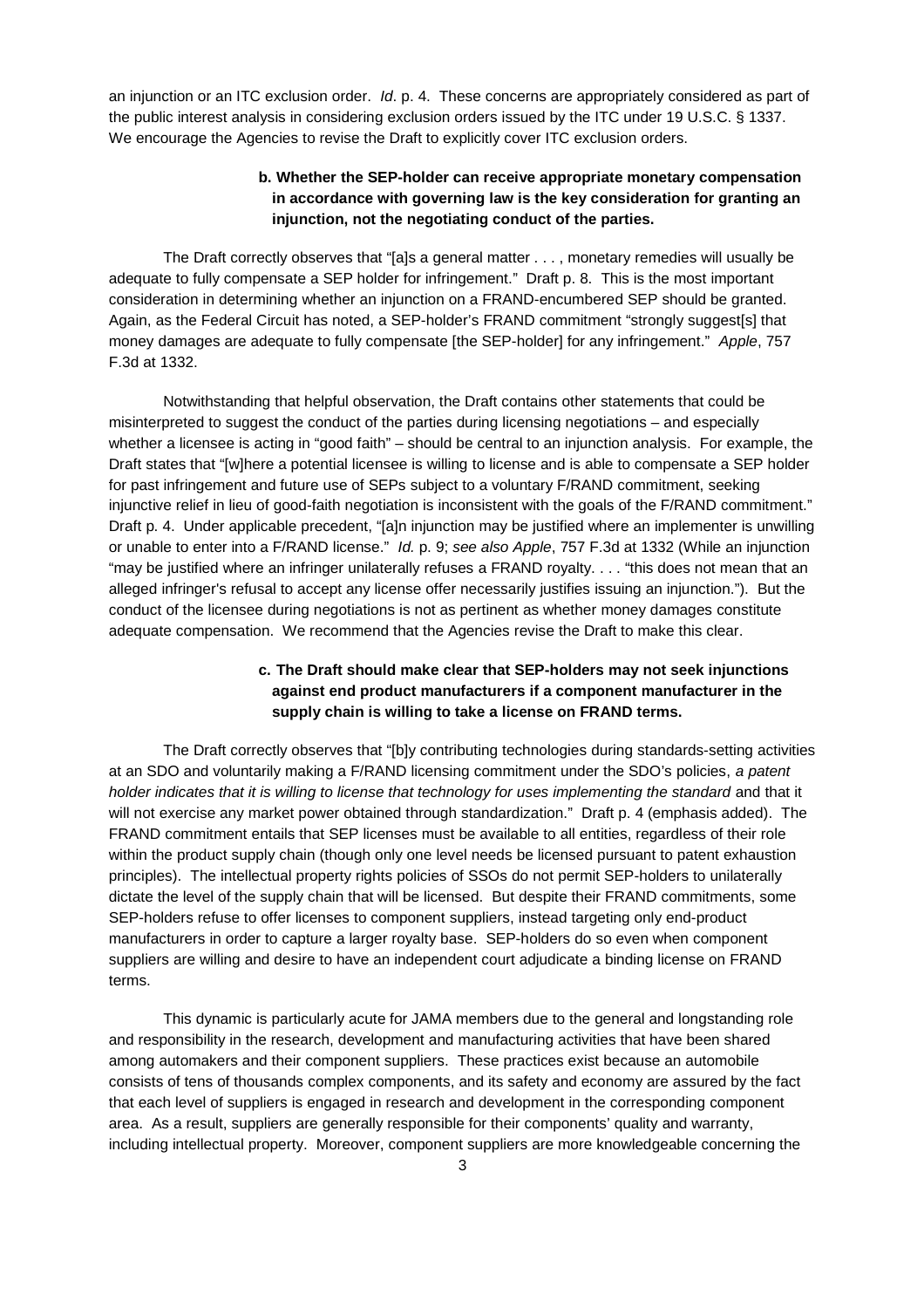an injunction or an ITC exclusion order. *Id*. p. 4. These concerns are appropriately considered as part of the public interest analysis in considering exclusion orders issued by the ITC under 19 U.S.C. § 1337. We encourage the Agencies to revise the Draft to explicitly cover ITC exclusion orders.

# **b. Whether the SEP-holder can receive appropriate monetary compensation in accordance with governing law is the key consideration for granting an injunction, not the negotiating conduct of the parties.**

The Draft correctly observes that "[a]s a general matter . . . , monetary remedies will usually be adequate to fully compensate a SEP holder for infringement." Draft p. 8. This is the most important consideration in determining whether an injunction on a FRAND-encumbered SEP should be granted. Again, as the Federal Circuit has noted, a SEP-holder's FRAND commitment "strongly suggest[s] that money damages are adequate to fully compensate [the SEP-holder] for any infringement." *Apple*, 757 F.3d at 1332.

Notwithstanding that helpful observation, the Draft contains other statements that could be misinterpreted to suggest the conduct of the parties during licensing negotiations – and especially whether a licensee is acting in "good faith" – should be central to an injunction analysis. For example, the Draft states that "[w]here a potential licensee is willing to license and is able to compensate a SEP holder for past infringement and future use of SEPs subject to a voluntary F/RAND commitment, seeking injunctive relief in lieu of good-faith negotiation is inconsistent with the goals of the F/RAND commitment." Draft p. 4. Under applicable precedent, "[a]n injunction may be justified where an implementer is unwilling or unable to enter into a F/RAND license." *Id.* p. 9; *see also Apple*, 757 F.3d at 1332 (While an injunction "may be justified where an infringer unilaterally refuses a FRAND royalty. . . . "this does not mean that an alleged infringer's refusal to accept any license offer necessarily justifies issuing an injunction."). But the conduct of the licensee during negotiations is not as pertinent as whether money damages constitute adequate compensation. We recommend that the Agencies revise the Draft to make this clear.

# **c. The Draft should make clear that SEP-holders may not seek injunctions against end product manufacturers if a component manufacturer in the supply chain is willing to take a license on FRAND terms.**

The Draft correctly observes that "[b]y contributing technologies during standards-setting activities at an SDO and voluntarily making a F/RAND licensing commitment under the SDO's policies, *a patent holder indicates that it is willing to license that technology for uses implementing the standard* and that it will not exercise any market power obtained through standardization." Draft p. 4 (emphasis added). The FRAND commitment entails that SEP licenses must be available to all entities, regardless of their role within the product supply chain (though only one level needs be licensed pursuant to patent exhaustion principles). The intellectual property rights policies of SSOs do not permit SEP-holders to unilaterally dictate the level of the supply chain that will be licensed. But despite their FRAND commitments, some SEP-holders refuse to offer licenses to component suppliers, instead targeting only end-product manufacturers in order to capture a larger royalty base. SEP-holders do so even when component suppliers are willing and desire to have an independent court adjudicate a binding license on FRAND terms.

This dynamic is particularly acute for JAMA members due to the general and longstanding role and responsibility in the research, development and manufacturing activities that have been shared among automakers and their component suppliers. These practices exist because an automobile consists of tens of thousands complex components, and its safety and economy are assured by the fact that each level of suppliers is engaged in research and development in the corresponding component area. As a result, suppliers are generally responsible for their components' quality and warranty, including intellectual property. Moreover, component suppliers are more knowledgeable concerning the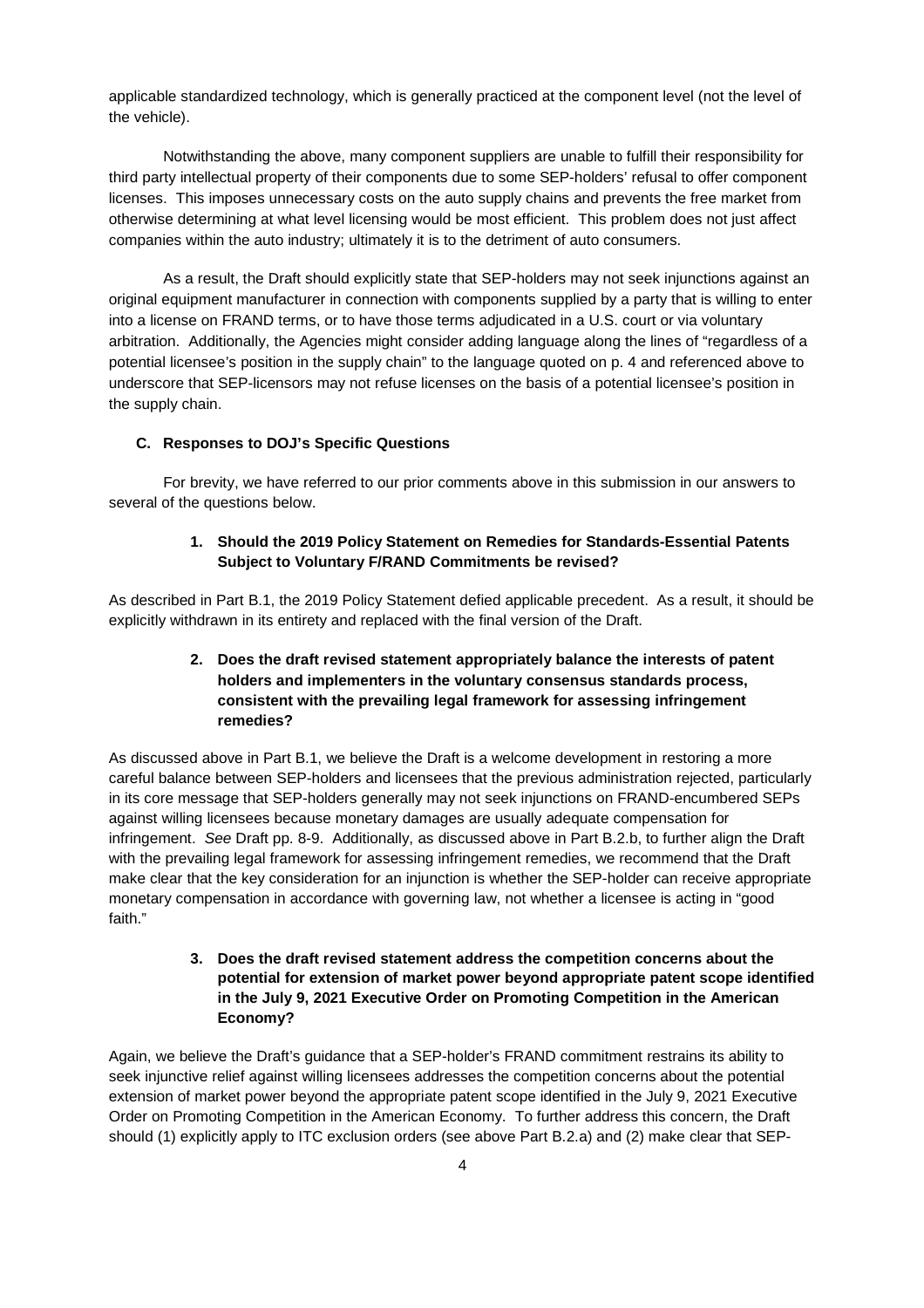applicable standardized technology, which is generally practiced at the component level (not the level of the vehicle).

Notwithstanding the above, many component suppliers are unable to fulfill their responsibility for third party intellectual property of their components due to some SEP-holders' refusal to offer component licenses. This imposes unnecessary costs on the auto supply chains and prevents the free market from otherwise determining at what level licensing would be most efficient. This problem does not just affect companies within the auto industry; ultimately it is to the detriment of auto consumers.

As a result, the Draft should explicitly state that SEP-holders may not seek injunctions against an original equipment manufacturer in connection with components supplied by a party that is willing to enter into a license on FRAND terms, or to have those terms adjudicated in a U.S. court or via voluntary arbitration. Additionally, the Agencies might consider adding language along the lines of "regardless of a potential licensee's position in the supply chain" to the language quoted on p. 4 and referenced above to underscore that SEP-licensors may not refuse licenses on the basis of a potential licensee's position in the supply chain.

#### **C. Responses to DOJ's Specific Questions**

For brevity, we have referred to our prior comments above in this submission in our answers to several of the questions below.

### **1. Should the 2019 Policy Statement on Remedies for Standards-Essential Patents Subject to Voluntary F/RAND Commitments be revised?**

As described in Part B.1, the 2019 Policy Statement defied applicable precedent. As a result, it should be explicitly withdrawn in its entirety and replaced with the final version of the Draft.

# **2. Does the draft revised statement appropriately balance the interests of patent holders and implementers in the voluntary consensus standards process, consistent with the prevailing legal framework for assessing infringement remedies?**

As discussed above in Part B.1, we believe the Draft is a welcome development in restoring a more careful balance between SEP-holders and licensees that the previous administration rejected, particularly in its core message that SEP-holders generally may not seek injunctions on FRAND-encumbered SEPs against willing licensees because monetary damages are usually adequate compensation for infringement. *See* Draft pp. 8-9. Additionally, as discussed above in Part B.2.b, to further align the Draft with the prevailing legal framework for assessing infringement remedies, we recommend that the Draft make clear that the key consideration for an injunction is whether the SEP-holder can receive appropriate monetary compensation in accordance with governing law, not whether a licensee is acting in "good faith."

# **3. Does the draft revised statement address the competition concerns about the potential for extension of market power beyond appropriate patent scope identified in the July 9, 2021 Executive Order on Promoting Competition in the American Economy?**

Again, we believe the Draft's guidance that a SEP-holder's FRAND commitment restrains its ability to seek injunctive relief against willing licensees addresses the competition concerns about the potential extension of market power beyond the appropriate patent scope identified in the July 9, 2021 Executive Order on Promoting Competition in the American Economy. To further address this concern, the Draft should (1) explicitly apply to ITC exclusion orders (see above Part B.2.a) and (2) make clear that SEP-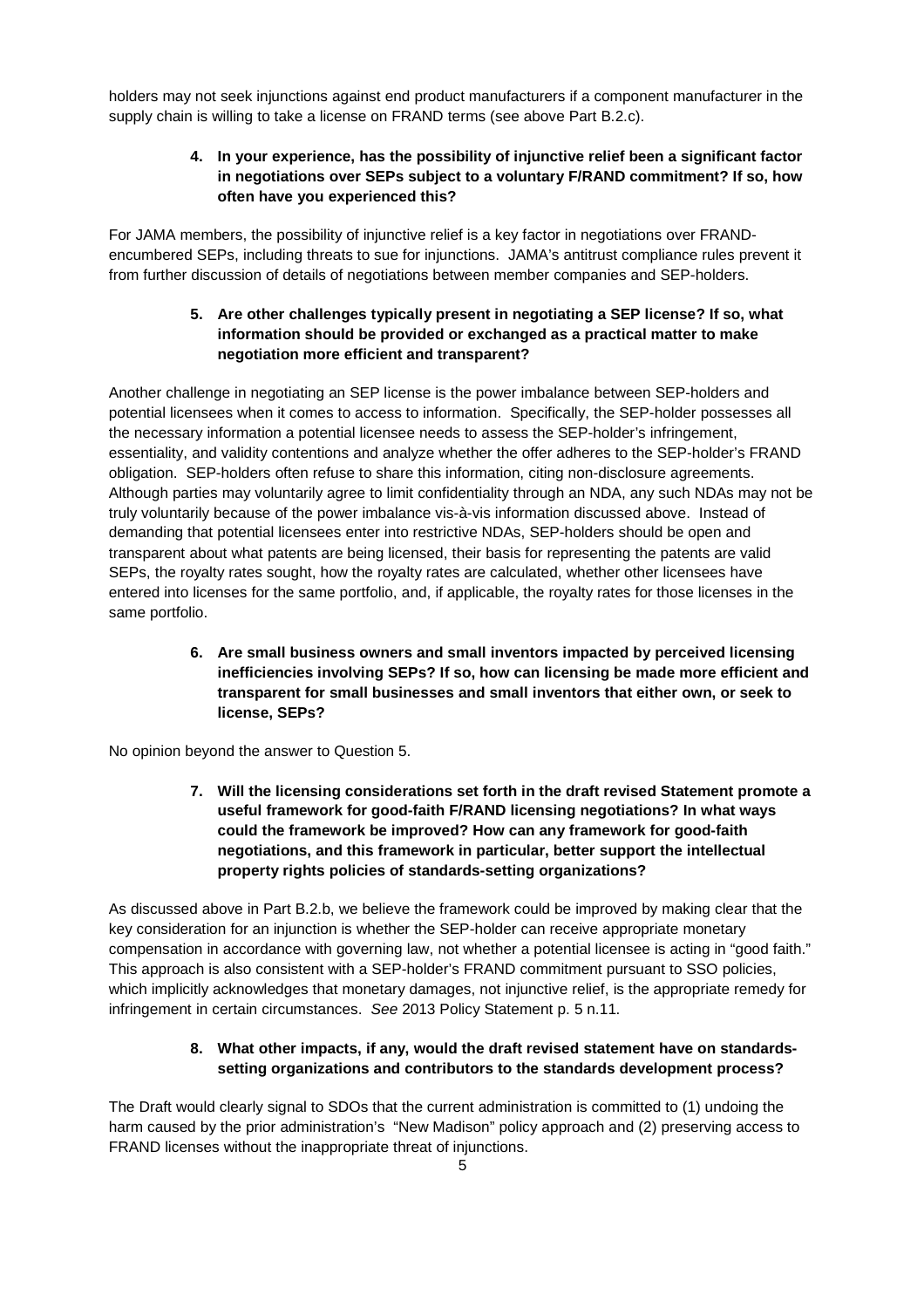holders may not seek injunctions against end product manufacturers if a component manufacturer in the supply chain is willing to take a license on FRAND terms (see above Part B.2.c).

### **4. In your experience, has the possibility of injunctive relief been a significant factor in negotiations over SEPs subject to a voluntary F/RAND commitment? If so, how often have you experienced this?**

For JAMA members, the possibility of injunctive relief is a key factor in negotiations over FRANDencumbered SEPs, including threats to sue for injunctions. JAMA's antitrust compliance rules prevent it from further discussion of details of negotiations between member companies and SEP-holders.

## **5. Are other challenges typically present in negotiating a SEP license? If so, what information should be provided or exchanged as a practical matter to make negotiation more efficient and transparent?**

Another challenge in negotiating an SEP license is the power imbalance between SEP-holders and potential licensees when it comes to access to information. Specifically, the SEP-holder possesses all the necessary information a potential licensee needs to assess the SEP-holder's infringement, essentiality, and validity contentions and analyze whether the offer adheres to the SEP-holder's FRAND obligation. SEP-holders often refuse to share this information, citing non-disclosure agreements. Although parties may voluntarily agree to limit confidentiality through an NDA, any such NDAs may not be truly voluntarily because of the power imbalance vis-à-vis information discussed above. Instead of demanding that potential licensees enter into restrictive NDAs, SEP-holders should be open and transparent about what patents are being licensed, their basis for representing the patents are valid SEPs, the royalty rates sought, how the royalty rates are calculated, whether other licensees have entered into licenses for the same portfolio, and, if applicable, the royalty rates for those licenses in the same portfolio.

> **6. Are small business owners and small inventors impacted by perceived licensing inefficiencies involving SEPs? If so, how can licensing be made more efficient and transparent for small businesses and small inventors that either own, or seek to license, SEPs?**

No opinion beyond the answer to Question 5.

**7. Will the licensing considerations set forth in the draft revised Statement promote a useful framework for good-faith F/RAND licensing negotiations? In what ways could the framework be improved? How can any framework for good-faith negotiations, and this framework in particular, better support the intellectual property rights policies of standards-setting organizations?**

As discussed above in Part B.2.b, we believe the framework could be improved by making clear that the key consideration for an injunction is whether the SEP-holder can receive appropriate monetary compensation in accordance with governing law, not whether a potential licensee is acting in "good faith." This approach is also consistent with a SEP-holder's FRAND commitment pursuant to SSO policies, which implicitly acknowledges that monetary damages, not injunctive relief, is the appropriate remedy for infringement in certain circumstances. *See* 2013 Policy Statement p. 5 n.11.

### **8. What other impacts, if any, would the draft revised statement have on standardssetting organizations and contributors to the standards development process?**

The Draft would clearly signal to SDOs that the current administration is committed to (1) undoing the harm caused by the prior administration's "New Madison" policy approach and (2) preserving access to FRAND licenses without the inappropriate threat of injunctions.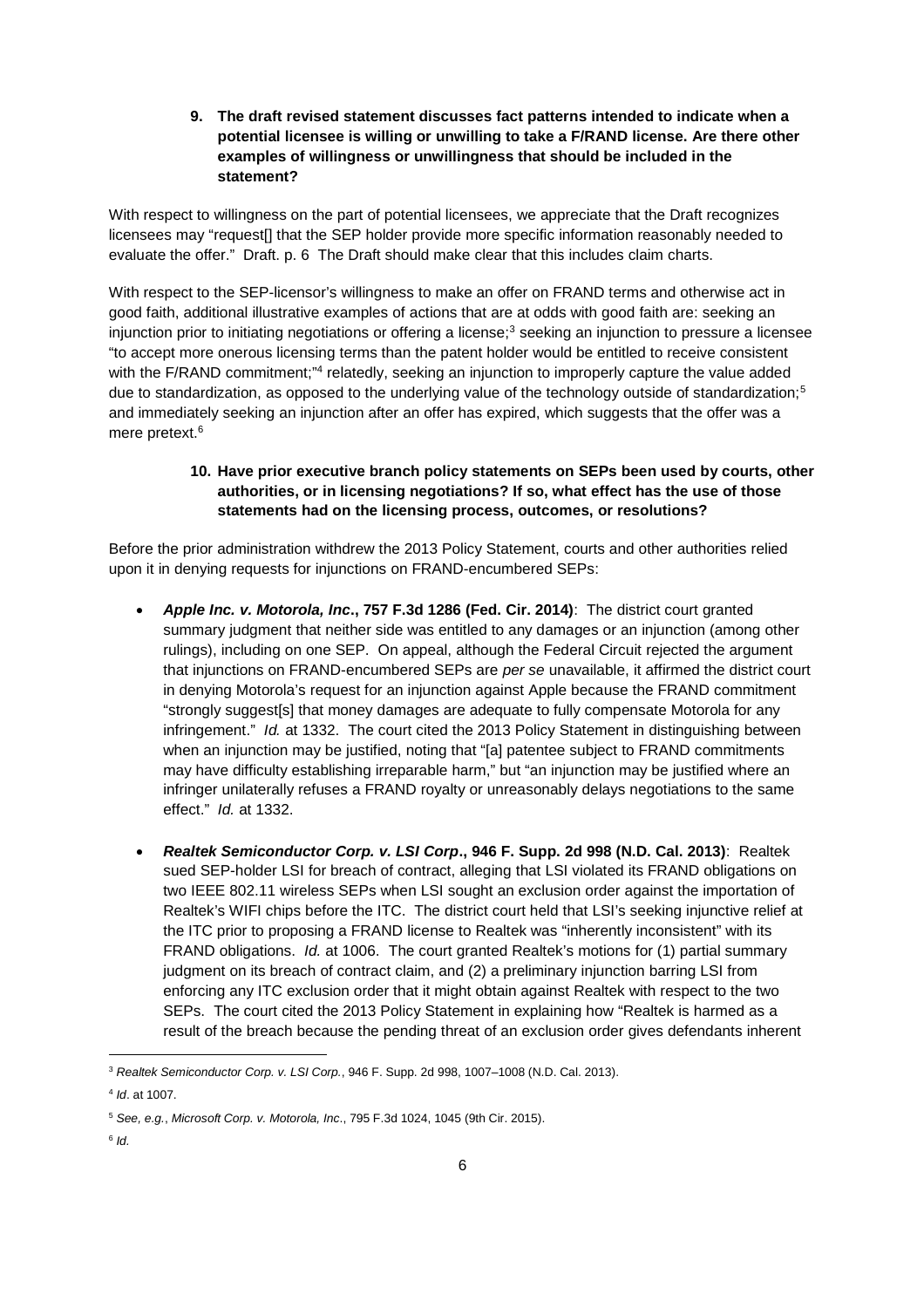**9. The draft revised statement discusses fact patterns intended to indicate when a potential licensee is willing or unwilling to take a F/RAND license. Are there other examples of willingness or unwillingness that should be included in the statement?**

With respect to willingness on the part of potential licensees, we appreciate that the Draft recognizes licensees may "request[] that the SEP holder provide more specific information reasonably needed to evaluate the offer." Draft. p. 6 The Draft should make clear that this includes claim charts.

With respect to the SEP-licensor's willingness to make an offer on FRAND terms and otherwise act in good faith, additional illustrative examples of actions that are at odds with good faith are: seeking an injunction prior to initiating negotiations or offering a license;<sup>3</sup> seeking an injunction to pressure a licensee "to accept more onerous licensing terms than the patent holder would be entitled to receive consistent with the F/RAND commitment;"<sup>4</sup> relatedly, seeking an injunction to improperly capture the value added due to standardization, as opposed to the underlying value of the technology outside of standardization;<sup>5</sup> and immediately seeking an injunction after an offer has expired, which suggests that the offer was a mere pretext.<sup>6</sup>

### **10. Have prior executive branch policy statements on SEPs been used by courts, other authorities, or in licensing negotiations? If so, what effect has the use of those statements had on the licensing process, outcomes, or resolutions?**

Before the prior administration withdrew the 2013 Policy Statement, courts and other authorities relied upon it in denying requests for injunctions on FRAND-encumbered SEPs:

- *Apple Inc. v. Motorola, Inc***., 757 F.3d 1286 (Fed. Cir. 2014)**: The district court granted summary judgment that neither side was entitled to any damages or an injunction (among other rulings), including on one SEP. On appeal, although the Federal Circuit rejected the argument that injunctions on FRAND-encumbered SEPs are *per se* unavailable, it affirmed the district court in denying Motorola's request for an injunction against Apple because the FRAND commitment "strongly suggest[s] that money damages are adequate to fully compensate Motorola for any infringement." *Id.* at 1332. The court cited the 2013 Policy Statement in distinguishing between when an injunction may be justified, noting that "[a] patentee subject to FRAND commitments may have difficulty establishing irreparable harm," but "an injunction may be justified where an infringer unilaterally refuses a FRAND royalty or unreasonably delays negotiations to the same effect." *Id.* at 1332.
- *Realtek Semiconductor Corp. v. LSI Corp***., 946 F. Supp. 2d 998 (N.D. Cal. 2013)**: Realtek sued SEP-holder LSI for breach of contract, alleging that LSI violated its FRAND obligations on two IEEE 802.11 wireless SEPs when LSI sought an exclusion order against the importation of Realtek's WIFI chips before the ITC. The district court held that LSI's seeking injunctive relief at the ITC prior to proposing a FRAND license to Realtek was "inherently inconsistent" with its FRAND obligations. *Id.* at 1006. The court granted Realtek's motions for (1) partial summary judgment on its breach of contract claim, and (2) a preliminary injunction barring LSI from enforcing any ITC exclusion order that it might obtain against Realtek with respect to the two SEPs. The court cited the 2013 Policy Statement in explaining how "Realtek is harmed as a result of the breach because the pending threat of an exclusion order gives defendants inherent

<sup>3</sup> *Realtek Semiconductor Corp. v. LSI Corp.*, 946 F. Supp. 2d 998, 1007–1008 (N.D. Cal. 2013).

<sup>4</sup> *Id*. at 1007.

<sup>5</sup> *See, e.g.*, *Microsoft Corp. v. Motorola, Inc*., 795 F.3d 1024, 1045 (9th Cir. 2015).

<sup>6</sup> *Id.*